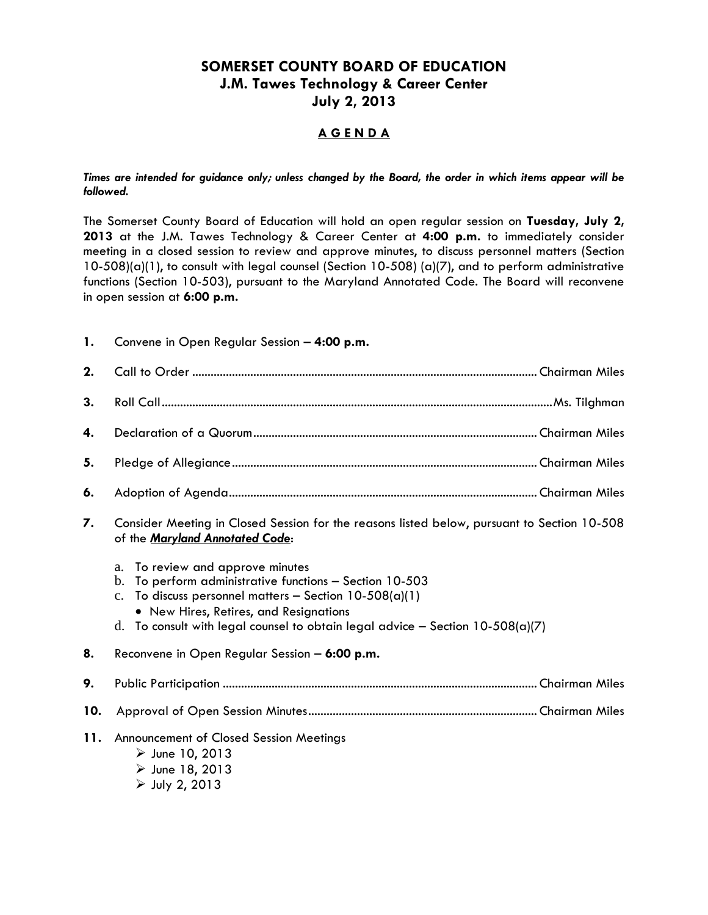# **SOMERSET COUNTY BOARD OF EDUCATION J.M. Tawes Technology & Career Center July 2, 2013**

### **A G E N D A**

#### *Times are intended for guidance only; unless changed by the Board, the order in which items appear will be followed.*

The Somerset County Board of Education will hold an open regular session on **Tuesday, July 2, 2013** at the J.M. Tawes Technology & Career Center at **4:00 p.m.** to immediately consider meeting in a closed session to review and approve minutes, to discuss personnel matters (Section 10-508)(a)(1), to consult with legal counsel (Section 10-508) (a)(7), and to perform administrative functions (Section 10-503), pursuant to the Maryland Annotated Code. The Board will reconvene in open session at **6:00 p.m.**

| 1.  | Convene in Open Regular Session - 4:00 p.m.                                                                                                                                                                                                                                                                                                                                                                                                                |  |
|-----|------------------------------------------------------------------------------------------------------------------------------------------------------------------------------------------------------------------------------------------------------------------------------------------------------------------------------------------------------------------------------------------------------------------------------------------------------------|--|
| 2.  |                                                                                                                                                                                                                                                                                                                                                                                                                                                            |  |
| 3.  |                                                                                                                                                                                                                                                                                                                                                                                                                                                            |  |
| 4.  |                                                                                                                                                                                                                                                                                                                                                                                                                                                            |  |
| 5.  |                                                                                                                                                                                                                                                                                                                                                                                                                                                            |  |
| 6.  |                                                                                                                                                                                                                                                                                                                                                                                                                                                            |  |
| 7.  | Consider Meeting in Closed Session for the reasons listed below, pursuant to Section 10-508<br>of the Maryland Annotated Code:<br>To review and approve minutes<br>a.<br>To perform administrative functions - Section 10-503<br>$\mathbf{b}$ .<br>To discuss personnel matters - Section $10-508(a)(1)$<br>$C_{\bullet}$<br>• New Hires, Retires, and Resignations<br>To consult with legal counsel to obtain legal advice - Section $10-508(a)(7)$<br>d. |  |
| 8.  | Reconvene in Open Regular Session - 6:00 p.m.                                                                                                                                                                                                                                                                                                                                                                                                              |  |
| 9.  |                                                                                                                                                                                                                                                                                                                                                                                                                                                            |  |
| 10. |                                                                                                                                                                                                                                                                                                                                                                                                                                                            |  |
| 11. | Announcement of Closed Session Meetings<br>$\triangleright$ June 10, 2013<br>$\triangleright$ June 18, 2013<br>$\triangleright$ July 2, 2013                                                                                                                                                                                                                                                                                                               |  |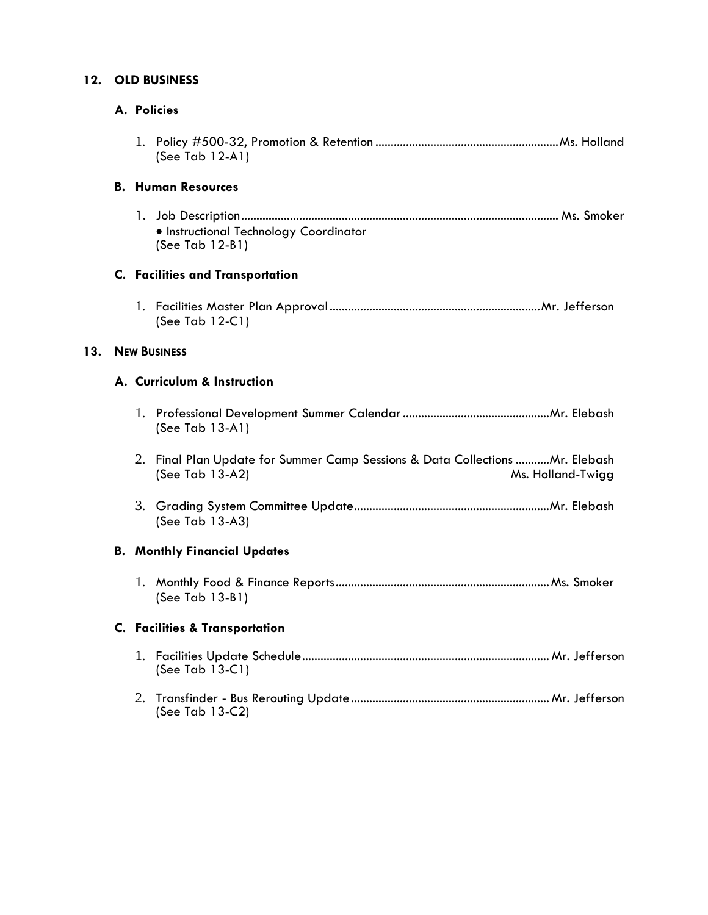## **12. OLD BUSINESS**

# **A. Policies**

 $13.$ 

|  | (See Tab 12-A1)                                                                                                      |  |  |
|--|----------------------------------------------------------------------------------------------------------------------|--|--|
|  | <b>B. Human Resources</b>                                                                                            |  |  |
|  | · Instructional Technology Coordinator<br>(See Tab 12-B1)                                                            |  |  |
|  | <b>C.</b> Facilities and Transportation                                                                              |  |  |
|  | (See Tab 12-C1)                                                                                                      |  |  |
|  | <b>NEW BUSINESS</b>                                                                                                  |  |  |
|  | A. Curriculum & Instruction                                                                                          |  |  |
|  | (See Tab 13-A1)                                                                                                      |  |  |
|  | 2. Final Plan Update for Summer Camp Sessions & Data Collections Mr. Elebash<br>(See Tab 13-A2)<br>Ms. Holland-Twigg |  |  |
|  | (See Tab 13-A3)                                                                                                      |  |  |
|  | <b>B. Monthly Financial Updates</b>                                                                                  |  |  |
|  | (See Tab 13-B1)                                                                                                      |  |  |
|  | <b>C.</b> Facilities & Transportation                                                                                |  |  |
|  | (See Tab 13-C1)                                                                                                      |  |  |
|  | (See Tab 13-C2)                                                                                                      |  |  |
|  |                                                                                                                      |  |  |